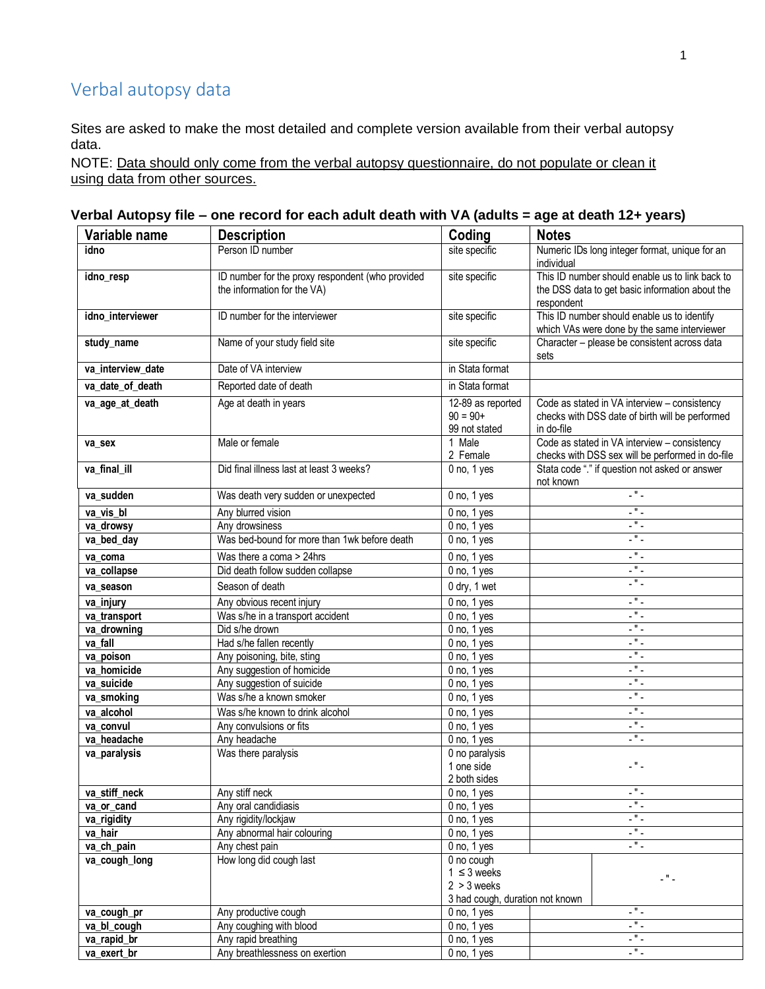## Verbal autopsy data

Sites are asked to make the most detailed and complete version available from their verbal autopsy data.

NOTE: Data should only come from the verbal autopsy questionnaire, do not populate or clean it using data from other sources.

## **Verbal Autopsy file – one record for each adult death with VA (adults = age at death 12+ years)**

| Variable name               | <b>Description</b>                                                              | Coding                                                                             | <b>Notes</b>                                                                                                     |  |
|-----------------------------|---------------------------------------------------------------------------------|------------------------------------------------------------------------------------|------------------------------------------------------------------------------------------------------------------|--|
| idno                        | Person ID number                                                                | site specific                                                                      | Numeric IDs long integer format, unique for an<br>individual                                                     |  |
| idno_resp                   | ID number for the proxy respondent (who provided<br>the information for the VA) | site specific                                                                      | This ID number should enable us to link back to<br>the DSS data to get basic information about the<br>respondent |  |
| idno_interviewer            | ID number for the interviewer                                                   | site specific                                                                      | This ID number should enable us to identify<br>which VAs were done by the same interviewer                       |  |
| study_name                  | Name of your study field site                                                   | site specific                                                                      | Character - please be consistent across data<br>sets                                                             |  |
| va_interview_date           | Date of VA interview                                                            | in Stata format                                                                    |                                                                                                                  |  |
| va_date_of_death            | Reported date of death                                                          | in Stata format                                                                    |                                                                                                                  |  |
| va_age_at_death             | Age at death in years                                                           | 12-89 as reported<br>$90 = 90+$<br>99 not stated                                   | Code as stated in VA interview - consistency<br>checks with DSS date of birth will be performed<br>in do-file    |  |
| va sex                      | Male or female                                                                  | 1 Male<br>2 Female                                                                 | Code as stated in VA interview - consistency<br>checks with DSS sex will be performed in do-file                 |  |
| va_final_ill                | Did final illness last at least 3 weeks?                                        | $\overline{0}$ no, 1 yes                                                           | Stata code "." if question not asked or answer<br>not known                                                      |  |
| va_sudden                   | Was death very sudden or unexpected                                             | $0$ no, $1$ yes                                                                    | $\overline{\phantom{a}}$                                                                                         |  |
| va_vis_bl                   | Any blurred vision                                                              | $0$ no, $1$ yes                                                                    | .".                                                                                                              |  |
| va_drowsy                   | Any drowsiness                                                                  | $0$ no, $1$ yes                                                                    | $\overline{\phantom{a}}$                                                                                         |  |
| va_bed_day                  | Was bed-bound for more than 1wk before death                                    | $0$ no, $1$ yes                                                                    | $\overline{\phantom{a}}$                                                                                         |  |
| va_coma                     | Was there a coma > 24hrs                                                        | $0$ no, $1$ yes                                                                    | $\mathbb{Z}^n$ .                                                                                                 |  |
| va_collapse                 | Did death follow sudden collapse                                                | $0$ no, $1$ yes                                                                    | $\mathbb{Z}^{(0)}$ .                                                                                             |  |
| va_season                   | Season of death                                                                 | 0 dry, 1 wet                                                                       | $\overline{\phantom{a}}$                                                                                         |  |
| va_injury                   | Any obvious recent injury                                                       | $0$ no, $1$ yes                                                                    | $\mathbb{Z}^{\mathsf{H}}$ .                                                                                      |  |
| va_transport                | Was s/he in a transport accident                                                | 0 no, 1 yes                                                                        | - " -                                                                                                            |  |
| va_drowning                 | Did s/he drown                                                                  | $0$ no, $1$ yes                                                                    | Ч,                                                                                                               |  |
| va_fall                     | Had s/he fallen recently                                                        | $0$ no, $1$ yes                                                                    | - " -                                                                                                            |  |
| va_poison                   | Any poisoning, bite, sting                                                      | $0$ no, $1$ yes                                                                    | - " -                                                                                                            |  |
| va homicide                 | Any suggestion of homicide                                                      | $0$ no, $1$ yes                                                                    | .".                                                                                                              |  |
| va_suicide                  | Any suggestion of suicide                                                       | $0$ no, $1$ yes                                                                    | $\overline{\phantom{a}}$                                                                                         |  |
| va_smoking                  | Was s/he a known smoker                                                         | $0$ no, $1$ yes                                                                    | L " L                                                                                                            |  |
| va alcohol                  | Was s/he known to drink alcohol                                                 | $0$ no, $1$ yes                                                                    | $\overline{\phantom{a}}$                                                                                         |  |
| va_convul                   | Any convulsions or fits                                                         | $0$ no, $1$ yes                                                                    | - " -<br>- " -                                                                                                   |  |
| va_headache<br>va_paralysis | Any headache<br>Was there paralysis                                             | $0$ no, $1$ yes<br>0 no paralysis                                                  |                                                                                                                  |  |
|                             |                                                                                 | 1 one side<br>2 both sides                                                         | -"-                                                                                                              |  |
| va_stiff_neck               | Any stiff neck                                                                  | $0$ no, $1$ yes                                                                    | $\overline{\phantom{a}}$                                                                                         |  |
| va_or_cand                  | Any oral candidiasis                                                            | $0$ no, $1$ yes                                                                    | а,                                                                                                               |  |
| va_rigidity                 | Any rigidity/lockjaw                                                            | $0$ no, $1$ yes                                                                    | $\overline{\mathbb{R}^n}$ .                                                                                      |  |
| va_hair                     | Any abnormal hair colouring                                                     | $0$ no, $1$ yes                                                                    | $\mathbf{L}^{\mathbf{H}}$                                                                                        |  |
| va_ch_pain                  | Any chest pain                                                                  | $0$ no, $1$ yes                                                                    | $\overline{\phantom{a}}$                                                                                         |  |
| va cough long               | How long did cough last                                                         | 0 no cough<br>$1 \leq 3$ weeks<br>$2 > 3$ weeks<br>3 had cough, duration not known | - " -                                                                                                            |  |
| va_cough_pr                 | Any productive cough                                                            | $0$ no, $1$ yes                                                                    | $\overline{\phantom{a}}$                                                                                         |  |
| va_bl_cough                 | Any coughing with blood                                                         | $0$ no, $1$ yes                                                                    | а,                                                                                                               |  |
| va rapid br                 | Any rapid breathing                                                             | $0$ no, $1$ yes                                                                    | 5                                                                                                                |  |
| va_exert_br                 | Any breathlessness on exertion                                                  | $0$ no, $1$ yes                                                                    | L " L                                                                                                            |  |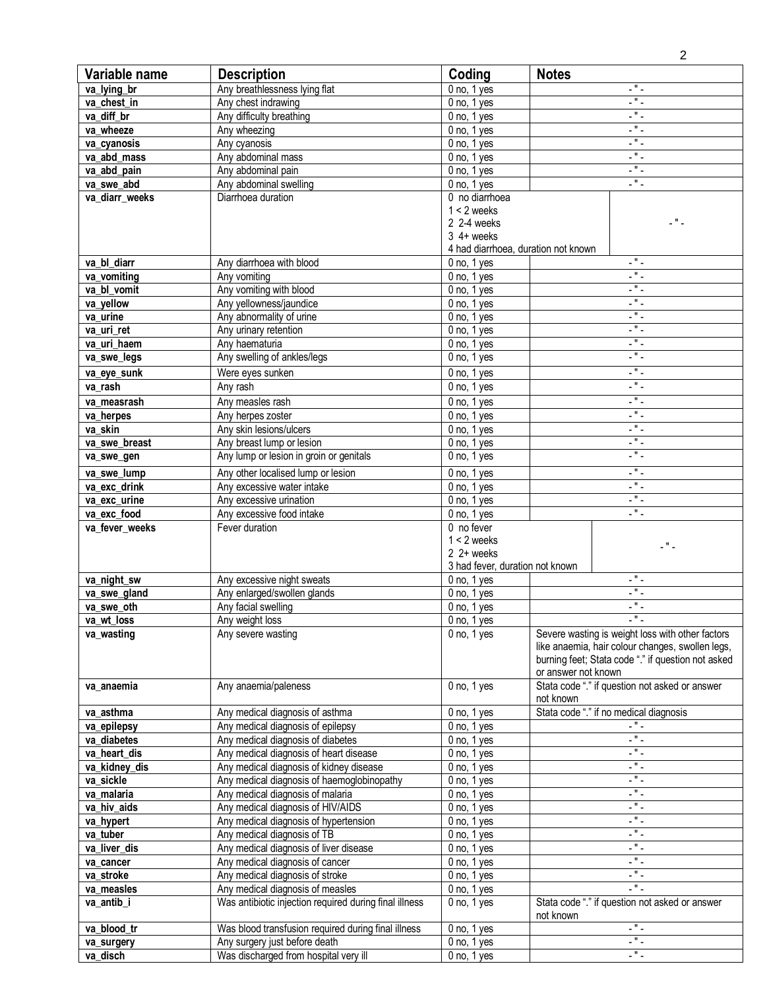|                            |                                                                       |                                     |                     | $\overline{2}$                                          |
|----------------------------|-----------------------------------------------------------------------|-------------------------------------|---------------------|---------------------------------------------------------|
| Variable name              | <b>Description</b>                                                    | Coding                              | <b>Notes</b>        |                                                         |
| va_lying_br                | Any breathlessness lying flat                                         | $0$ no, $1$ yes                     |                     | $ "$ $-$                                                |
| va chest in                | Any chest indrawing                                                   | $0$ no, $1$ yes                     |                     | L " L                                                   |
| va diff br                 | Any difficulty breathing                                              | $0$ no, $1$ yes                     |                     | $-$ " $-$                                               |
| va wheeze                  | Any wheezing                                                          | $0$ no, $1$ yes                     |                     | $\overline{\phantom{a}}$                                |
| va_cyanosis                | Any cyanosis                                                          | $0$ no, $1$ yes                     |                     | $\overline{\phantom{a}}$                                |
| va abd mass                | Any abdominal mass                                                    | $0$ no, $1$ yes                     |                     | $\overline{\phantom{a}}$                                |
| va_abd_pain                | Any abdominal pain                                                    | $0$ no, $1$ yes                     |                     | $\mathbf{L}^{\mathbf{H}}$ .                             |
| va_swe_abd                 | Any abdominal swelling                                                | $0$ no, $1$ yes                     |                     | $\mathbb{Z}^n$ .                                        |
| va_diarr_weeks             | Diarrhoea duration                                                    | 0 no diarrhoea                      |                     |                                                         |
|                            |                                                                       | $1 < 2$ weeks<br>2 2-4 weeks        |                     | цМЦ.                                                    |
|                            |                                                                       | $3$ 4+ weeks                        |                     |                                                         |
|                            |                                                                       | 4 had diarrhoea, duration not known |                     |                                                         |
| va_bl_diarr                | Any diarrhoea with blood                                              | $0$ no, $1$ yes                     |                     | $-$ " $-$                                               |
| va vomiting                | Any vomiting                                                          | $0$ no, $1$ yes                     |                     | $\mathbb{Z}^n$ .                                        |
| va_bl_vomit                | Any vomiting with blood                                               | $0$ no, $1$ yes                     |                     | L " L                                                   |
| va_yellow                  | Any yellowness/jaundice                                               | $0$ no, $1$ yes                     |                     | $\overline{\phantom{a}}$                                |
| va_urine                   | Any abnormality of urine                                              | $0$ no, $1$ yes                     |                     | $\overline{\phantom{a}}$                                |
| va_uri_ret                 | Any urinary retention                                                 | $0$ no, $1$ yes                     |                     | $\mathbb{Z}^n$ .                                        |
| va_uri_haem                | Any haematuria                                                        | $0$ no, $1$ yes                     |                     | $\overline{\phantom{a}}$                                |
| va_swe_legs                | Any swelling of ankles/legs                                           | $0$ no, $1$ yes                     |                     | $-$ " $-$                                               |
| va_eye_sunk                | Were eyes sunken                                                      | $0$ no, $1$ yes                     |                     | $\mathbb{Z}^{(0)}$ .                                    |
| va_rash                    | Any rash                                                              | $0$ no, $1$ yes                     |                     | $\mathbb{Z}^n$ .                                        |
| va measrash                | Any measles rash                                                      | $0$ no, $1$ yes                     |                     | $\overline{a}$                                          |
| va_herpes                  | Any herpes zoster                                                     | $0$ no, $1$ yes                     |                     | L " L                                                   |
| va skin                    | Any skin lesions/ulcers                                               | 0 no, 1 yes                         |                     | $\mathbb{Z}^n$ .                                        |
| va_swe_breast              | Any breast lump or lesion                                             | $0$ no, $1$ yes                     |                     | $\overline{\phantom{a}}$                                |
| va_swe_gen                 | Any lump or lesion in groin or genitals                               | $0$ no, $1$ yes                     |                     | $\mathbb{Z}^n$ .                                        |
| va_swe_lump                | Any other localised lump or lesion                                    | $0$ no, $1$ yes                     |                     | $\overline{\phantom{a}}$                                |
| va_exc_drink               | Any excessive water intake                                            | $0$ no, $1$ yes                     |                     | $\overline{\phantom{a}}$                                |
| va_exc_urine               | Any excessive urination                                               | $0$ no, $1$ yes                     |                     | $\mathbb{Z}^{\mathsf{H}}$ .                             |
| va exc food                | Any excessive food intake                                             | $0$ no, $1$ yes                     |                     | $\mathbb{Z}^n$ .                                        |
| va_fever_weeks             | Fever duration                                                        | 0 no fever                          |                     |                                                         |
|                            |                                                                       | $1 < 2$ weeks                       |                     | - " -                                                   |
|                            |                                                                       | $2 + weeks$                         |                     |                                                         |
|                            |                                                                       | 3 had fever, duration not known     |                     | L " L                                                   |
| va_night_sw                | Any excessive night sweats<br>Any enlarged/swollen glands             | $0$ no, $1$ yes                     |                     | -"-                                                     |
| va_swe_gland<br>va_swe_oth | Any facial swelling                                                   | $0$ no, $1$ yes<br>$0$ no, $1$ yes  |                     | $\blacksquare$                                          |
| va wt loss                 | Any weight loss                                                       | $0$ no, $1$ yes                     |                     | .".                                                     |
| va_wasting                 | Any severe wasting                                                    | $0$ no, $1$ yes                     |                     | Severe wasting is weight loss with other factors        |
|                            |                                                                       |                                     |                     | like anaemia, hair colour changes, swollen legs,        |
|                            |                                                                       |                                     |                     | burning feet; Stata code "." if question not asked      |
|                            |                                                                       |                                     | or answer not known |                                                         |
| va anaemia                 | Any anaemia/paleness                                                  | $0$ no, $1$ yes                     |                     | Stata code "." if question not asked or answer          |
|                            |                                                                       |                                     | not known           |                                                         |
| va_asthma                  | Any medical diagnosis of asthma                                       | $0$ no, $1$ yes                     |                     | Stata code "." if no medical diagnosis                  |
| va_epilepsy                | Any medical diagnosis of epilepsy                                     | $0$ no, $1$ yes                     |                     | $\mathbb{Z}^{(0)}$ .                                    |
| va diabetes                | Any medical diagnosis of diabetes                                     | $0$ no, $1$ yes                     |                     | $\omega^{\rm eff}$ $\omega$                             |
| va_heart_dis               | Any medical diagnosis of heart disease                                | $0$ no, $1$ yes                     |                     | $\overline{\phantom{a}}$                                |
| va_kidney_dis              | Any medical diagnosis of kidney disease                               | $0$ no, $1$ yes                     |                     | $\omega^{\rm eff}$ $\omega$<br>$\overline{\phantom{a}}$ |
| va_sickle<br>va malaria    | Any medical diagnosis of haemoglobinopathy                            | $0$ no, $1$ yes                     |                     | $\overline{\phantom{a}}$                                |
| va_hiv_aids                | Any medical diagnosis of malaria<br>Any medical diagnosis of HIV/AIDS | $0$ no, $1$ yes<br>$0$ no, $1$ yes  |                     | $\mathbb{Z}^{(0)}$ .                                    |
| va_hypert                  | Any medical diagnosis of hypertension                                 | $0$ no, $1$ yes                     |                     | $\overline{a}$                                          |
| va_tuber                   | Any medical diagnosis of TB                                           | $0$ no, $1$ yes                     |                     | $ "$ $-$                                                |
| va_liver_dis               | Any medical diagnosis of liver disease                                | $0$ no, $1$ yes                     |                     | $\overline{a}$                                          |
| va_cancer                  | Any medical diagnosis of cancer                                       | $0$ no, $1$ yes                     |                     | $\mathbb{R}^n$ .                                        |
| va stroke                  | Any medical diagnosis of stroke                                       | $0$ no, $1$ yes                     |                     | L " L                                                   |
| va_measles                 | Any medical diagnosis of measles                                      | $0$ no, $1$ yes                     |                     | $\overline{\phantom{a}}$                                |
| va_antib_i                 | Was antibiotic injection required during final illness                | $0$ no, $1$ yes                     |                     | Stata code "." if question not asked or answer          |
|                            |                                                                       |                                     | not known           |                                                         |
| va_blood_tr                | Was blood transfusion required during final illness                   | $0$ no, $1$ yes                     |                     | $\overline{\phantom{a}}$                                |
| va_surgery                 | Any surgery just before death                                         | $0$ no, $1$ yes                     |                     | L " L                                                   |
| va_disch                   | Was discharged from hospital very ill                                 | $0$ no, $1$ yes                     |                     | L " L                                                   |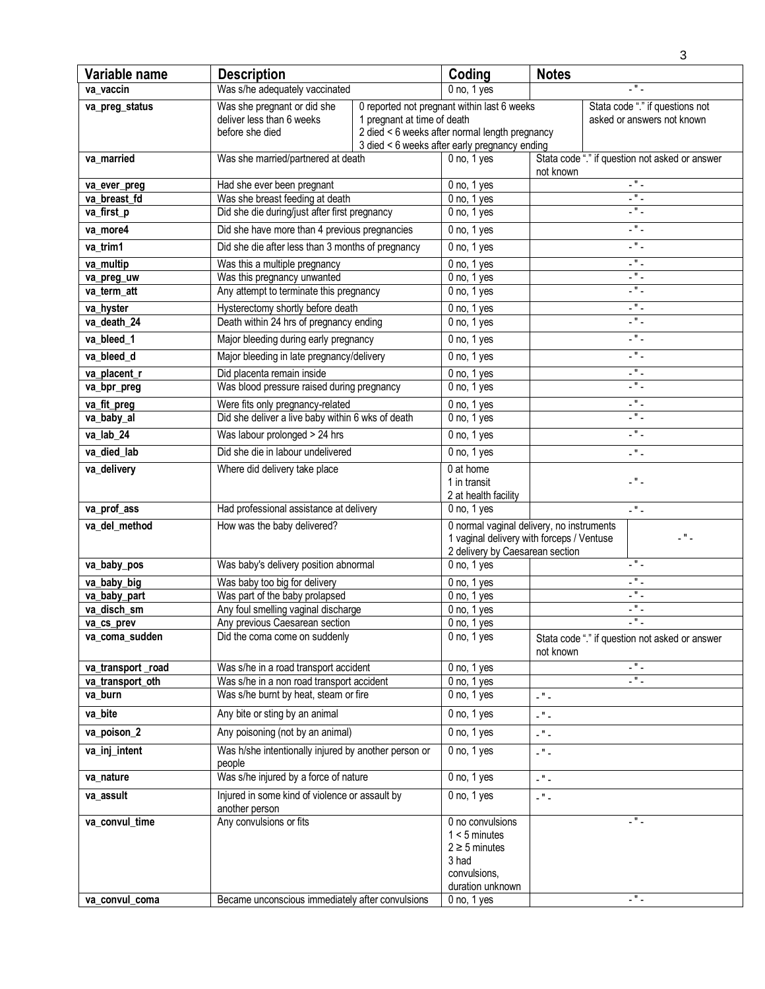|                                  |                                                                                    |                             |                                                                                                                                                |                                                                    | 3                                                             |
|----------------------------------|------------------------------------------------------------------------------------|-----------------------------|------------------------------------------------------------------------------------------------------------------------------------------------|--------------------------------------------------------------------|---------------------------------------------------------------|
| Variable name                    | <b>Description</b>                                                                 |                             | Coding                                                                                                                                         | <b>Notes</b>                                                       |                                                               |
| va_vaccin                        | Was s/he adequately vaccinated                                                     |                             | $0$ no, $1$ yes                                                                                                                                |                                                                    | $-$ " $-$                                                     |
| va_preg_status                   | Was she pregnant or did she<br>deliver less than 6 weeks<br>before she died        | 1 pregnant at time of death | 0 reported not pregnant within last 6 weeks<br>2 died < 6 weeks after normal length pregnancy<br>3 died < 6 weeks after early pregnancy ending |                                                                    | Stata code "." if questions not<br>asked or answers not known |
| va_married                       | Was she married/partnered at death                                                 |                             | $0$ no, $1$ yes                                                                                                                                | not known                                                          | Stata code "." if question not asked or answer                |
| va_ever_preg                     | Had she ever been pregnant                                                         |                             | $0$ no, $1$ yes                                                                                                                                |                                                                    | $\overline{\mathcal{L}^{\mathfrak{n}}\mathcal{L}}$            |
| va breast fd                     | Was she breast feeding at death                                                    |                             | $0$ no, $1$ yes                                                                                                                                |                                                                    | $\overline{a}$                                                |
| va_first_p                       | Did she die during/just after first pregnancy                                      |                             | $0$ no, $1$ yes                                                                                                                                |                                                                    | L # L                                                         |
| va more4                         | Did she have more than 4 previous pregnancies                                      |                             | $0$ no, $1$ yes                                                                                                                                |                                                                    | $\overline{\phantom{a}}$                                      |
| va_trim1                         | Did she die after less than 3 months of pregnancy                                  |                             | $0$ no, $1$ yes                                                                                                                                |                                                                    | $\mathbb{Z}^n$ .                                              |
| va multip                        | Was this a multiple pregnancy                                                      |                             | $0$ no, $1$ yes                                                                                                                                |                                                                    | $\overline{a}$                                                |
| va_preg_uw                       | Was this pregnancy unwanted                                                        |                             | $0$ no, $1$ yes                                                                                                                                |                                                                    | ш.,                                                           |
| va_term_att                      | Any attempt to terminate this pregnancy                                            |                             | $0$ no, $1$ yes                                                                                                                                |                                                                    | $\mathbb{Z}^n$ .                                              |
| va_hyster                        | Hysterectomy shortly before death                                                  |                             | $0$ no, $1$ yes                                                                                                                                |                                                                    | $\overline{a}$                                                |
| va_death_24                      | Death within 24 hrs of pregnancy ending                                            |                             | $0$ no, $1$ yes                                                                                                                                |                                                                    | $\overline{\phantom{a}}$                                      |
| va_bleed_1                       | Major bleeding during early pregnancy                                              |                             | $0$ no, $1$ yes                                                                                                                                |                                                                    | $\mathbb{Z}^n$ .                                              |
| va bleed d                       | Major bleeding in late pregnancy/delivery                                          |                             | $0$ no, $1$ yes                                                                                                                                |                                                                    | $\mathbb{Z}^{\mathsf{H}}$ .                                   |
| va_placent_r                     | Did placenta remain inside                                                         |                             | $0$ no, $1$ yes                                                                                                                                |                                                                    | $\mathbb{Z}^n$ .                                              |
| va_bpr_preg                      | Was blood pressure raised during pregnancy                                         |                             | $0$ no, $1$ yes                                                                                                                                |                                                                    | $ "$ $-$                                                      |
| va_fit_preg                      | Were fits only pregnancy-related                                                   |                             | $0$ no, $1$ yes                                                                                                                                |                                                                    | $\mathbb{Z}^n$ .                                              |
| va_baby_al                       | Did she deliver a live baby within 6 wks of death                                  |                             | $0$ no, $1$ yes                                                                                                                                |                                                                    | $\mathbb{R}^n$ .                                              |
| va_lab_24                        | Was labour prolonged > 24 hrs                                                      |                             | $0$ no, $1$ yes                                                                                                                                |                                                                    | $\overline{\phantom{a}}$                                      |
| va_died_lab                      | Did she die in labour undelivered                                                  |                             | $0$ no, $1$ yes                                                                                                                                |                                                                    | $\mathbb{Z}^m$ .                                              |
| va_delivery                      | Where did delivery take place                                                      |                             | 0 at home<br>1 in transit<br>2 at health facility                                                                                              |                                                                    | L " L                                                         |
| va_prof_ass                      | Had professional assistance at delivery                                            |                             | $0$ no, $1$ yes                                                                                                                                |                                                                    | $\mathbb{R}^n$ .                                              |
| va del method                    | How was the baby delivered?                                                        |                             | 0 normal vaginal delivery, no instruments<br>$ "$ $-$<br>1 vaginal delivery with forceps / Ventuse<br>2 delivery by Caesarean section          |                                                                    |                                                               |
| va_baby_pos                      | Was baby's delivery position abnormal                                              |                             | $0$ no, $1$ yes                                                                                                                                |                                                                    | $-$ " $-$                                                     |
| va baby big                      | Was baby too big for delivery                                                      |                             | $0$ no, $1$ yes                                                                                                                                |                                                                    | L " L                                                         |
| va_baby_part                     | Was part of the baby prolapsed                                                     |                             | $0$ no, $1$ yes                                                                                                                                |                                                                    | $\overline{\phantom{a}}$                                      |
| va disch sm                      | Any foul smelling vaginal discharge                                                |                             | $0$ no, $1$ yes                                                                                                                                |                                                                    | -"-                                                           |
| va_cs_prev<br>va coma sudden     | Any previous Caesarean section<br>Did the coma come on suddenly                    |                             | $0$ no, $1$ yes<br>$0$ no, $1$ yes                                                                                                             | .٠.<br>Stata code "." if question not asked or answer<br>not known |                                                               |
| va_transport_road                | Was s/he in a road transport accident                                              |                             | $0$ no, $1$ yes                                                                                                                                |                                                                    | $\mathbb{Z}^{\mathsf{H}}$ .                                   |
| va_transport_oth                 | Was s/he in a non road transport accident<br>Was s/he burnt by heat, steam or fire |                             | $0$ no, $1$ yes<br>$0$ no, $1$ yes                                                                                                             |                                                                    | $\mathbb{Z}^n$ .                                              |
| va_burn<br>va_bite               | Any bite or sting by an animal                                                     |                             | $0$ no, $1$ yes                                                                                                                                | $\omega^{\rm eff}$ $\omega$<br>$\mathbb{Z}^{(0)}$ .                |                                                               |
|                                  | Any poisoning (not by an animal)                                                   |                             |                                                                                                                                                |                                                                    |                                                               |
| va_poison_2                      |                                                                                    |                             | $0$ no, $1$ yes                                                                                                                                | $\omega^{\rm eff}$ $\omega$                                        |                                                               |
| va_inj_intent                    | Was h/she intentionally injured by another person or<br>people                     |                             | $0$ no, $1$ yes                                                                                                                                | $\mathbb{Z}^n$ .                                                   |                                                               |
| va nature                        | Was s/he injured by a force of nature                                              |                             | $0$ no, $1$ yes                                                                                                                                | $\mathbb{Z}^{(0)}$ .                                               |                                                               |
| va_assult                        | Injured in some kind of violence or assault by<br>another person                   |                             | $0$ no, $1$ yes                                                                                                                                | $\mathbb{Z}^{\mathsf{H}}$ .                                        |                                                               |
| va_convul_time<br>va_convul_coma | Any convulsions or fits<br>Became unconscious immediately after convulsions        |                             | 0 no convulsions<br>$1 < 5$ minutes<br>$2 \geq 5$ minutes<br>3 had<br>convulsions,<br>duration unknown<br>$0$ no, $1$ yes                      |                                                                    | $\mathbb{Z}^n$ .<br>- " -                                     |
|                                  |                                                                                    |                             |                                                                                                                                                |                                                                    |                                                               |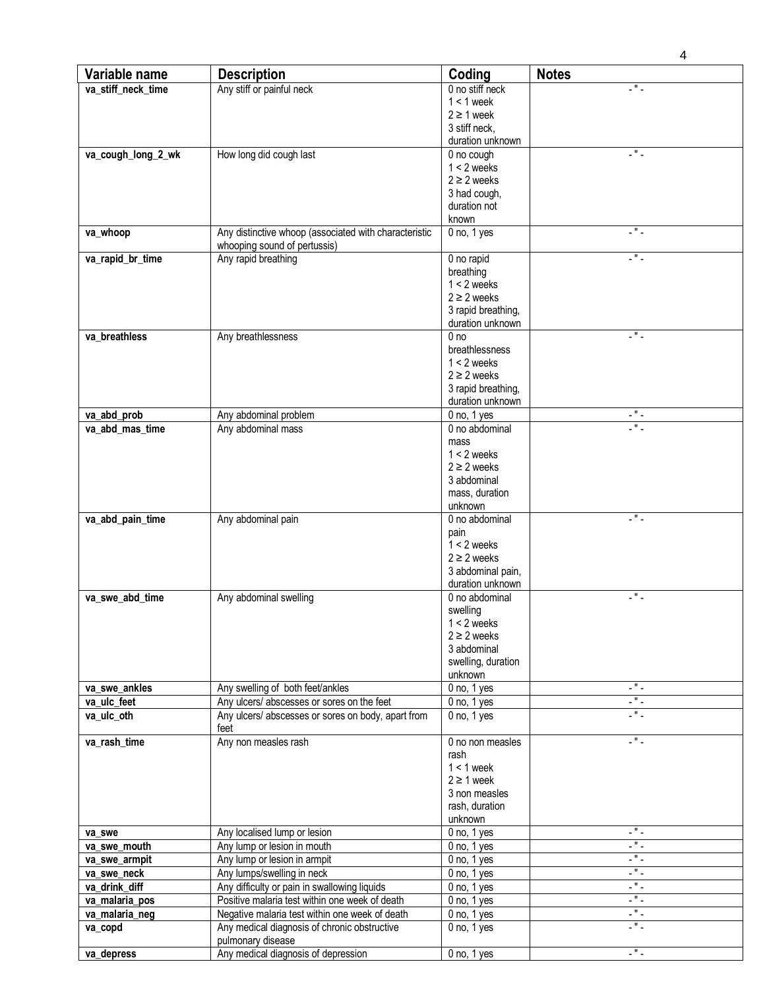| Variable name      | <b>Description</b>                                                                             | Coding             | <b>Notes</b>                            |
|--------------------|------------------------------------------------------------------------------------------------|--------------------|-----------------------------------------|
| va_stiff_neck_time | Any stiff or painful neck                                                                      | 0 no stiff neck    | - " -                                   |
|                    |                                                                                                | $1 < 1$ week       |                                         |
|                    |                                                                                                | $2 \geq 1$ week    |                                         |
|                    |                                                                                                | 3 stiff neck,      |                                         |
|                    |                                                                                                | duration unknown   |                                         |
| va_cough_long_2_wk | How long did cough last                                                                        | 0 no cough         | $\mathbb{Z}^n$ .                        |
|                    |                                                                                                | $1 < 2$ weeks      |                                         |
|                    |                                                                                                | $2 \geq 2$ weeks   |                                         |
|                    |                                                                                                | 3 had cough,       |                                         |
|                    |                                                                                                | duration not       |                                         |
|                    |                                                                                                | known              |                                         |
| va_whoop           | Any distinctive whoop (associated with characteristic                                          | $0$ no, $1$ yes    | L # L                                   |
|                    | whooping sound of pertussis)                                                                   |                    |                                         |
| va_rapid_br_time   | Any rapid breathing                                                                            | 0 no rapid         | -"-                                     |
|                    |                                                                                                | breathing          |                                         |
|                    |                                                                                                | $1 < 2$ weeks      |                                         |
|                    |                                                                                                | $2 \geq 2$ weeks   |                                         |
|                    |                                                                                                | 3 rapid breathing, |                                         |
|                    |                                                                                                | duration unknown   |                                         |
| va breathless      | Any breathlessness                                                                             | 0 <sub>no</sub>    | $\mathbb{Z}^n$ .                        |
|                    |                                                                                                | breathlessness     |                                         |
|                    |                                                                                                | $1 < 2$ weeks      |                                         |
|                    |                                                                                                | $2 \geq 2$ weeks   |                                         |
|                    |                                                                                                |                    |                                         |
|                    |                                                                                                | 3 rapid breathing, |                                         |
|                    |                                                                                                | duration unknown   | L " L                                   |
| va_abd_prob        | Any abdominal problem                                                                          | $0$ no, $1$ yes    | $\overline{\phantom{a}}$                |
| va_abd_mas_time    | Any abdominal mass                                                                             | 0 no abdominal     |                                         |
|                    |                                                                                                | mass               |                                         |
|                    |                                                                                                | $1 < 2$ weeks      |                                         |
|                    |                                                                                                | $2 \geq 2$ weeks   |                                         |
|                    |                                                                                                | 3 abdominal        |                                         |
|                    |                                                                                                | mass, duration     |                                         |
|                    |                                                                                                | unknown            |                                         |
| va_abd_pain_time   | Any abdominal pain                                                                             | 0 no abdominal     | .".                                     |
|                    |                                                                                                | pain               |                                         |
|                    |                                                                                                | $1 < 2$ weeks      |                                         |
|                    |                                                                                                | $2 \geq 2$ weeks   |                                         |
|                    |                                                                                                | 3 abdominal pain,  |                                         |
|                    |                                                                                                | duration unknown   |                                         |
| va_swe_abd_time    | Any abdominal swelling                                                                         | 0 no abdominal     | -"-                                     |
|                    |                                                                                                | swelling           |                                         |
|                    |                                                                                                | $1 < 2$ weeks      |                                         |
|                    |                                                                                                | $2 \geq 2$ weeks   |                                         |
|                    |                                                                                                | 3 abdominal        |                                         |
|                    |                                                                                                | swelling, duration |                                         |
|                    |                                                                                                | unknown            |                                         |
| va_swe_ankles      | Any swelling of both feet/ankles                                                               | $0$ no, $1$ yes    | L " L                                   |
| va_ulc_feet        | Any ulcers/ abscesses or sores on the feet                                                     | $0$ no, $1$ yes    | $\mathbb{Z}^m$ .                        |
| va_ulc_oth         | Any ulcers/ abscesses or sores on body, apart from                                             | $0$ no, $1$ yes    | $\overline{\phantom{a}}$                |
|                    | feet                                                                                           |                    |                                         |
| va_rash_time       | Any non measles rash                                                                           | 0 no non measles   | L # L                                   |
|                    |                                                                                                | rash               |                                         |
|                    |                                                                                                | $1 < 1$ week       |                                         |
|                    |                                                                                                | $2 \geq 1$ week    |                                         |
|                    |                                                                                                | 3 non measles      |                                         |
|                    |                                                                                                | rash, duration     |                                         |
|                    |                                                                                                | unknown            |                                         |
| va swe             | Any localised lump or lesion                                                                   | $0$ no, $1$ yes    | $\overline{\phantom{a}}$                |
| va_swe_mouth       | Any lump or lesion in mouth                                                                    | $0$ no, $1$ yes    | 5                                       |
| va_swe_armpit      | Any lump or lesion in armpit                                                                   | $0$ no, $1$ yes    | - 1                                     |
| va_swe_neck        | Any lumps/swelling in neck                                                                     | $0$ no, $1$ yes    | $\overline{\cdot}$ " $\overline{\cdot}$ |
|                    |                                                                                                |                    | $\mathbb{Z}^{\mathsf{H}}$ .             |
| va_drink_diff      | Any difficulty or pain in swallowing liquids<br>Positive malaria test within one week of death | $0$ no, $1$ yes    | $\mathbf{F}$                            |
| va_malaria_pos     |                                                                                                | $0$ no, $1$ yes    | $\mathbb{Z}^{(0)}$ .                    |
| va_malaria_neg     | Negative malaria test within one week of death                                                 | $0$ no, $1$ yes    | L # L                                   |
| va_copd            | Any medical diagnosis of chronic obstructive                                                   | $0$ no, $1$ yes    |                                         |
|                    | pulmonary disease                                                                              |                    |                                         |
| va_depress         | Any medical diagnosis of depression                                                            | $0$ no, $1$ yes    | -"-                                     |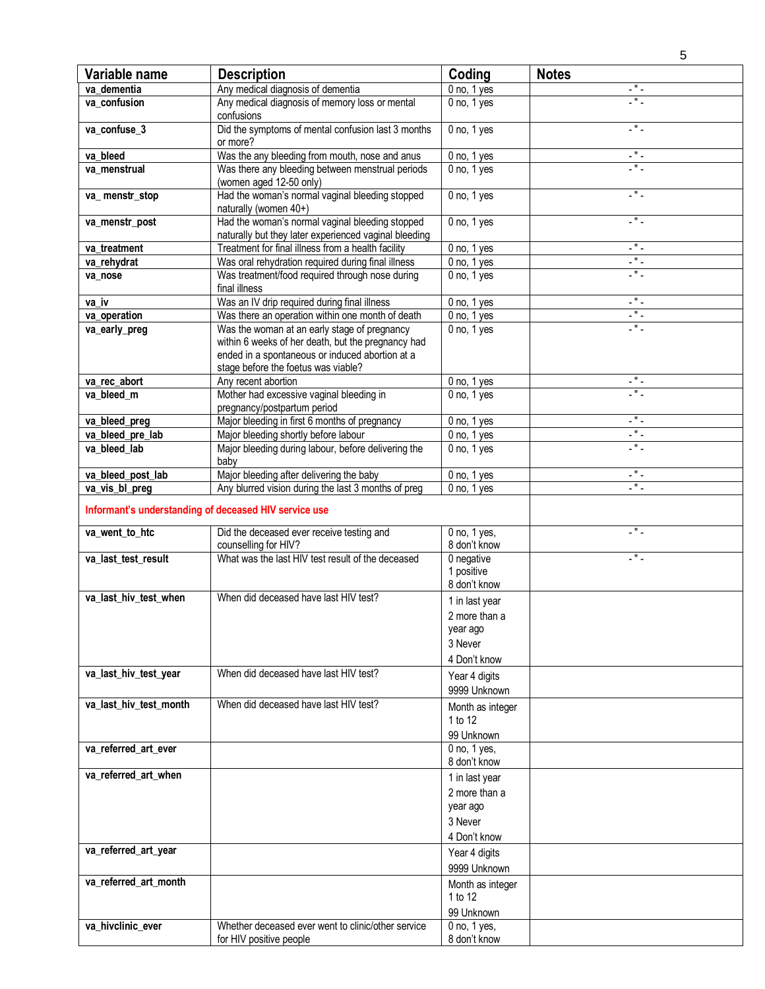| Variable name          | <b>Description</b>                                                                                                                                                                           | Coding                                                                 | <b>Notes</b>                |
|------------------------|----------------------------------------------------------------------------------------------------------------------------------------------------------------------------------------------|------------------------------------------------------------------------|-----------------------------|
| va dementia            | Any medical diagnosis of dementia                                                                                                                                                            | $0$ no, $1$ yes                                                        | - " -                       |
| va confusion           | Any medical diagnosis of memory loss or mental<br>confusions                                                                                                                                 | $0$ no, $1$ yes                                                        | - " -                       |
| va_confuse_3           | Did the symptoms of mental confusion last 3 months<br>or more?                                                                                                                               | $0$ no, $1$ yes                                                        | $\mathbb{Z}^n$ .            |
| va bleed               | Was the any bleeding from mouth, nose and anus                                                                                                                                               | $0$ no, $1$ yes                                                        | $\omega^{\rm eff}$ .        |
| va menstrual           | Was there any bleeding between menstrual periods<br>(women aged 12-50 only)                                                                                                                  | $0$ no, $1$ yes                                                        | $\overline{\phantom{a}}$    |
| va_menstr_stop         | Had the woman's normal vaginal bleeding stopped<br>naturally (women 40+)                                                                                                                     | $0$ no, $1$ yes                                                        | .".                         |
| va_menstr_post         | Had the woman's normal vaginal bleeding stopped<br>naturally but they later experienced vaginal bleeding                                                                                     | $0$ no, $1$ yes                                                        | - " -                       |
| va treatment           | Treatment for final illness from a health facility                                                                                                                                           | $0$ no, $1$ yes                                                        | $\mathbb{Z}^{\mathsf{H}}$ . |
| va_rehydrat            | Was oral rehydration required during final illness                                                                                                                                           | $0$ no, $1$ yes                                                        | -"-                         |
| va_nose                | Was treatment/food required through nose during<br>final illness                                                                                                                             | $0$ no, $1$ yes                                                        | .".                         |
| va iv                  | Was an IV drip required during final illness                                                                                                                                                 | $0$ no, $1$ yes                                                        | $\mathbb{R}^n$ .            |
| va operation           | Was there an operation within one month of death                                                                                                                                             | $0$ no, $1$ yes                                                        | 5                           |
| va_early_preg          | Was the woman at an early stage of pregnancy<br>within 6 weeks of her death, but the pregnancy had<br>ended in a spontaneous or induced abortion at a<br>stage before the foetus was viable? | $0$ no, $1$ yes                                                        | . " .                       |
| va rec abort           | Any recent abortion                                                                                                                                                                          | $0$ no, $1$ yes                                                        | $\mathbb{Z}^{\mathsf{H}}$ . |
| va_bleed_m             | Mother had excessive vaginal bleeding in<br>pregnancy/postpartum period                                                                                                                      | $0$ no, $1$ yes                                                        | .".                         |
| va_bleed_preg          | Major bleeding in first 6 months of pregnancy                                                                                                                                                | $0$ no, $1$ yes                                                        | L " L                       |
| va_bleed_pre_lab       | Major bleeding shortly before labour                                                                                                                                                         | $\overline{0}$ no, 1 yes                                               | -"-                         |
| va bleed lab           | Major bleeding during labour, before delivering the<br>baby                                                                                                                                  | $0$ no, $1$ yes                                                        | - " -                       |
| va_bleed_post_lab      | Major bleeding after delivering the baby                                                                                                                                                     | $0$ no, $1$ yes                                                        | L * L                       |
| va_vis_bl_preg         | Any blurred vision during the last 3 months of preg                                                                                                                                          | $0$ no, $1$ yes                                                        | $-$ " $-$                   |
|                        | Informant's understanding of deceased HIV service use                                                                                                                                        |                                                                        |                             |
| va_went_to_htc         | Did the deceased ever receive testing and<br>counselling for HIV?                                                                                                                            | 0 no, 1 yes,<br>8 don't know                                           | .".                         |
| va_last_test_result    | What was the last HIV test result of the deceased                                                                                                                                            | 0 negative<br>1 positive<br>8 don't know                               | . " .                       |
| va_last_hiv_test_when  | When did deceased have last HIV test?                                                                                                                                                        | 1 in last year<br>2 more than a<br>year ago<br>3 Never<br>4 Don't know |                             |
| va_last_hiv_test_year  | When did deceased have last HIV test?                                                                                                                                                        | Year 4 digits<br>9999 Unknown                                          |                             |
| va_last_hiv_test_month | When did deceased have last HIV test?                                                                                                                                                        | Month as integer<br>1 to 12<br>99 Unknown                              |                             |
| va_referred_art_ever   |                                                                                                                                                                                              | $0$ no, $1$ yes,<br>8 don't know                                       |                             |
| va_referred_art_when   |                                                                                                                                                                                              | 1 in last year<br>2 more than a<br>year ago<br>3 Never<br>4 Don't know |                             |
| va_referred_art_year   |                                                                                                                                                                                              | Year 4 digits<br>9999 Unknown                                          |                             |
| va_referred_art_month  |                                                                                                                                                                                              | Month as integer<br>1 to 12<br>99 Unknown                              |                             |
| va_hivclinic_ever      | Whether deceased ever went to clinic/other service<br>for HIV positive people                                                                                                                | 0 no, 1 yes,<br>8 don't know                                           |                             |